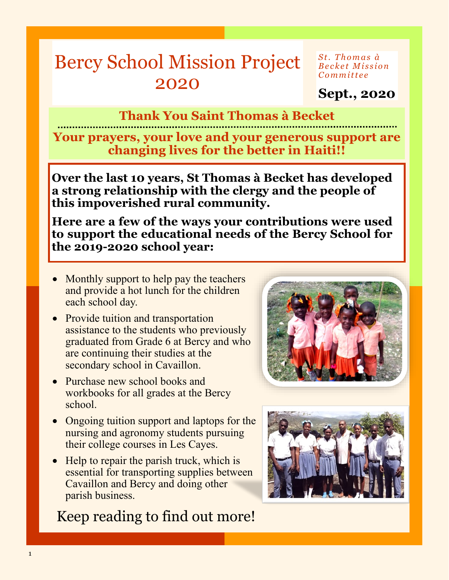## Bercy School Mission Project 2020

*S t . T h o m a s à B e c k e t M i s s i o n C o m m i t t e e*

**Sept., 2020**

#### **Thank You Saint Thomas à Becket**

**Your prayers, your love and your generous support are changing lives for the better in Haiti!!**

**Over the last 10 years, St Thomas à Becket has developed a strong relationship with the clergy and the people of this impoverished rural community.**

**Here are a few of the ways your contributions were used to support the educational needs of the Bercy School for the 2019-2020 school year:**

- Monthly support to help pay the teachers and provide a hot lunch for the children each school day.
- Provide tuition and transportation assistance to the students who previously graduated from Grade 6 at Bercy and who are continuing their studies at the secondary school in Cavaillon.
- Purchase new school books and workbooks for all grades at the Bercy school.
- Ongoing tuition support and laptops for the nursing and agronomy students pursuing their college courses in Les Cayes.
- Help to repair the parish truck, which is essential for transporting supplies between Cavaillon and Bercy and doing other parish business.

#### Keep reading to find out more!



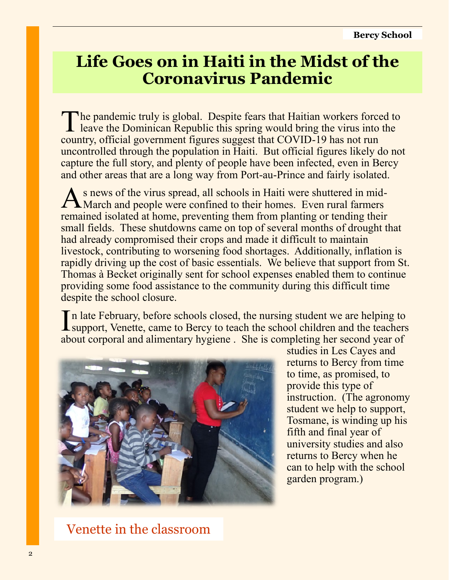### **Life Goes on in Haiti in the Midst of the Coronavirus Pandemic**

The pandemic truly is global. Despite fears that Haitian workers forced to leave the Dominican Republic this spring would bring the virus into the leave the Dominican Republic this spring would bring the virus into the country, official government figures suggest that COVID-19 has not run uncontrolled through the population in Haiti. But official figures likely do not capture the full story, and plenty of people have been infected, even in Bercy and other areas that are a long way from Port-au-Prince and fairly isolated.

As news of the virus spread, all schools in Haiti were shuttered in mid-March and people were confined to their homes. Even rural farmers s news of the virus spread, all schools in Haiti were shuttered in midremained isolated at home, preventing them from planting or tending their small fields. These shutdowns came on top of several months of drought that had already compromised their crops and made it difficult to maintain livestock, contributing to worsening food shortages. Additionally, inflation is rapidly driving up the cost of basic essentials. We believe that support from St. Thomas à Becket originally sent for school expenses enabled them to continue providing some food assistance to the community during this difficult time despite the school closure.

In late February, before schools closed, the nursing student we are helping to support, Venette, came to Bercy to teach the school children and the teachers n late February, before schools closed, the nursing student we are helping to about corporal and alimentary hygiene . She is completing her second year of



studies in Les Cayes and returns to Bercy from time to time, as promised, to provide this type of instruction. (The agronomy student we help to support, Tosmane, is winding up his fifth and final year of university studies and also returns to Bercy when he can to help with the school garden program.)

Venette in the classroom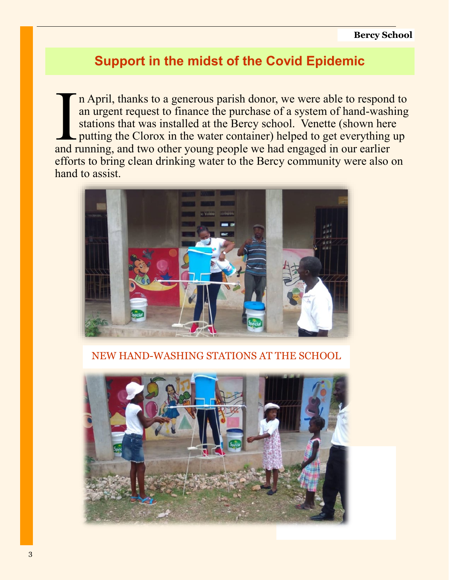#### **Support in the midst of the Covid Epidemic**

In April, thanks to a generous parish donor, we were able to respond<br>an urgent request to finance the purchase of a system of hand-wash<br>stations that was installed at the Bercy school. Venette (shown here<br>putting the Cloro n April, thanks to a generous parish donor, we were able to respond to an urgent request to finance the purchase of a system of hand-washing stations that was installed at the Bercy school. Venette (shown here putting the Clorox in the water container) helped to get everything up efforts to bring clean drinking water to the Bercy community were also on hand to assist.



NEW HAND-WASHING STATIONS AT THE SCHOOL

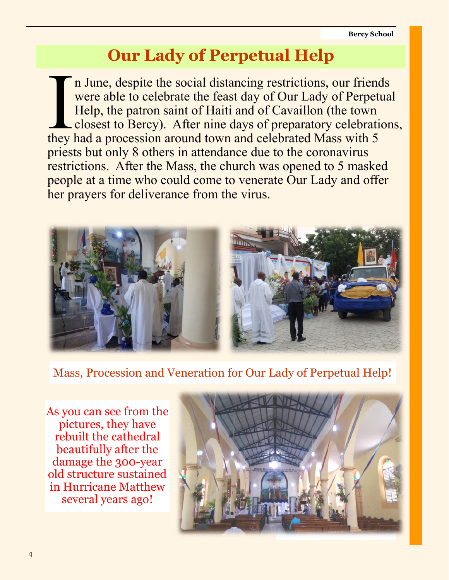## **Our Lady of Perpetual Help**

In June, despite the social distancing restrictions, our friend<br>were able to celebrate the feast day of Our Lady of Perpett<br>Help, the patron saint of Haiti and of Cavaillon (the town<br>closest to Bercy). After nine days of p n June, despite the social distancing restrictions, our friends were able to celebrate the feast day of Our Lady of Perpetual Help, the patron saint of Haiti and of Cavaillon (the town closest to Bercy). After nine days of preparatory celebrations, priests but only 8 others in attendance due to the coronavirus restrictions. After the Mass, the church was opened to 5 masked people at a time who could come to venerate Our Lady and offer her prayers for deliverance from the virus.



Mass, Procession and Veneration for Our Lady of Perpetual Help!

As you can see from the pictures, they have rebuilt the cathedral beautifully after the damage the 300-year old structure sustained in Hurricane Matthew several years ago!

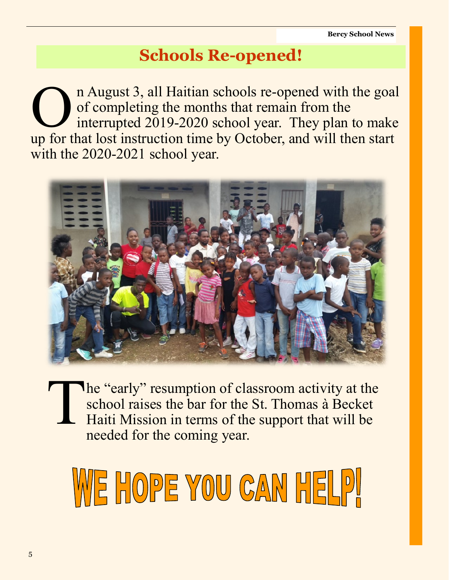## **Schools Re-opened!**

 $\overline{\bigcup_{\text{max}}$ n August 3, all Haitian schools re-opened with the goal of completing the months that remain from the interrupted 2019-2020 school year. They plan to make up for that lost instruction time by October, and will then start with the 2020-2021 school year.



T The "early" resumption of classroom activity at the school raises the bar for the St. Thomas à Becket Haiti Mission in terms of the support that will be needed for the coming year.

# WE HOPE YOU CAN HELPI